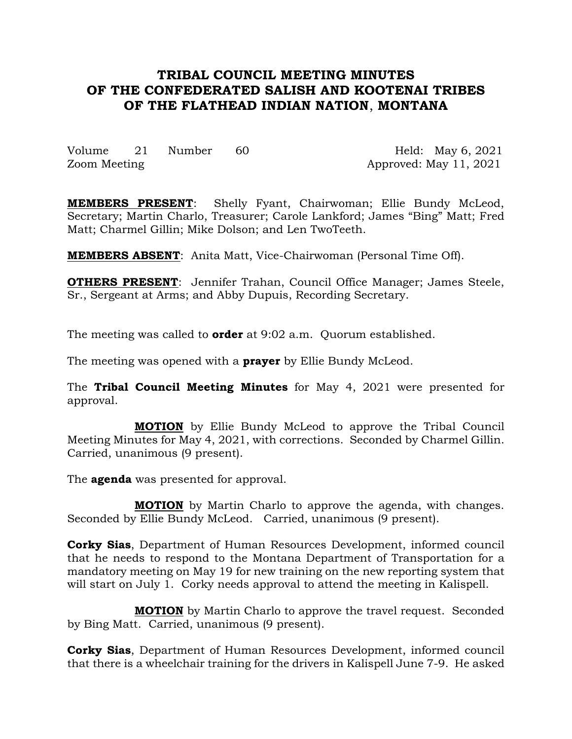# **TRIBAL COUNCIL MEETING MINUTES OF THE CONFEDERATED SALISH AND KOOTENAI TRIBES OF THE FLATHEAD INDIAN NATION**, **MONTANA**

Volume 21 Number 60 Held: May 6, 2021 Zoom Meeting Approved: May 11, 2021

**MEMBERS PRESENT**: Shelly Fyant, Chairwoman; Ellie Bundy McLeod, Secretary; Martin Charlo, Treasurer; Carole Lankford; James "Bing" Matt; Fred Matt; Charmel Gillin; Mike Dolson; and Len TwoTeeth.

**MEMBERS ABSENT**: Anita Matt, Vice-Chairwoman (Personal Time Off).

**OTHERS PRESENT:** Jennifer Trahan, Council Office Manager; James Steele, Sr., Sergeant at Arms; and Abby Dupuis, Recording Secretary.

The meeting was called to **order** at 9:02 a.m. Quorum established.

The meeting was opened with a **prayer** by Ellie Bundy McLeod.

The **Tribal Council Meeting Minutes** for May 4, 2021 were presented for approval.

**MOTION** by Ellie Bundy McLeod to approve the Tribal Council Meeting Minutes for May 4, 2021, with corrections. Seconded by Charmel Gillin. Carried, unanimous (9 present).

The **agenda** was presented for approval.

**MOTION** by Martin Charlo to approve the agenda, with changes. Seconded by Ellie Bundy McLeod. Carried, unanimous (9 present).

**Corky Sias**, Department of Human Resources Development, informed council that he needs to respond to the Montana Department of Transportation for a mandatory meeting on May 19 for new training on the new reporting system that will start on July 1. Corky needs approval to attend the meeting in Kalispell.

**MOTION** by Martin Charlo to approve the travel request. Seconded by Bing Matt. Carried, unanimous (9 present).

**Corky Sias**, Department of Human Resources Development, informed council that there is a wheelchair training for the drivers in Kalispell June 7-9. He asked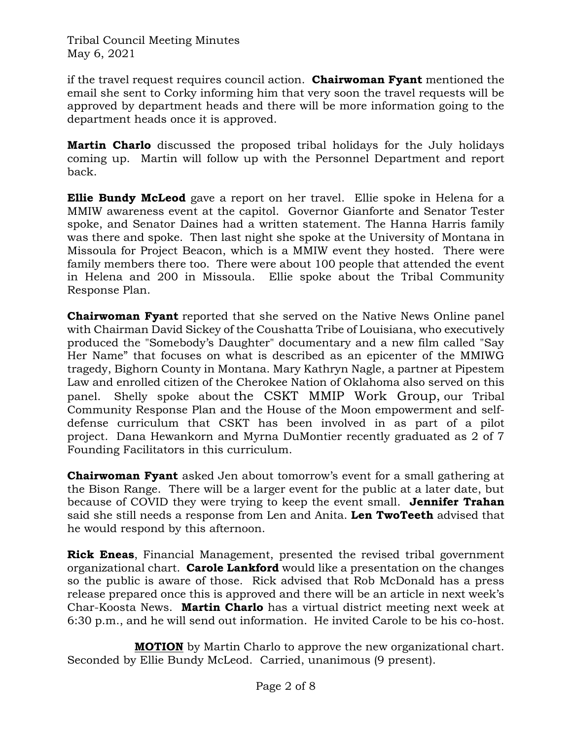if the travel request requires council action. **Chairwoman Fyant** mentioned the email she sent to Corky informing him that very soon the travel requests will be approved by department heads and there will be more information going to the department heads once it is approved.

**Martin Charlo** discussed the proposed tribal holidays for the July holidays coming up. Martin will follow up with the Personnel Department and report back.

**Ellie Bundy McLeod** gave a report on her travel. Ellie spoke in Helena for a MMIW awareness event at the capitol. Governor Gianforte and Senator Tester spoke, and Senator Daines had a written statement. The Hanna Harris family was there and spoke. Then last night she spoke at the University of Montana in Missoula for Project Beacon, which is a MMIW event they hosted. There were family members there too. There were about 100 people that attended the event in Helena and 200 in Missoula. Ellie spoke about the Tribal Community Response Plan.

**Chairwoman Fyant** reported that she served on the Native News Online panel with Chairman David Sickey of the Coushatta Tribe of Louisiana, who executively produced the "Somebody's Daughter" documentary and a new film called "Say Her Name" that focuses on what is described as an epicenter of the MMIWG tragedy, Bighorn County in Montana. Mary Kathryn Nagle, a partner at Pipestem Law and enrolled citizen of the Cherokee Nation of Oklahoma also served on this panel. Shelly spoke about the CSKT MMIP Work Group, our Tribal Community Response Plan and the House of the Moon empowerment and selfdefense curriculum that CSKT has been involved in as part of a pilot project. Dana Hewankorn and Myrna DuMontier recently graduated as 2 of 7 Founding Facilitators in this curriculum.

**Chairwoman Fyant** asked Jen about tomorrow's event for a small gathering at the Bison Range. There will be a larger event for the public at a later date, but because of COVID they were trying to keep the event small. **Jennifer Trahan** said she still needs a response from Len and Anita. **Len TwoTeeth** advised that he would respond by this afternoon.

**Rick Eneas**, Financial Management, presented the revised tribal government organizational chart. **Carole Lankford** would like a presentation on the changes so the public is aware of those. Rick advised that Rob McDonald has a press release prepared once this is approved and there will be an article in next week's Char-Koosta News. **Martin Charlo** has a virtual district meeting next week at 6:30 p.m., and he will send out information. He invited Carole to be his co-host.

**MOTION** by Martin Charlo to approve the new organizational chart. Seconded by Ellie Bundy McLeod. Carried, unanimous (9 present).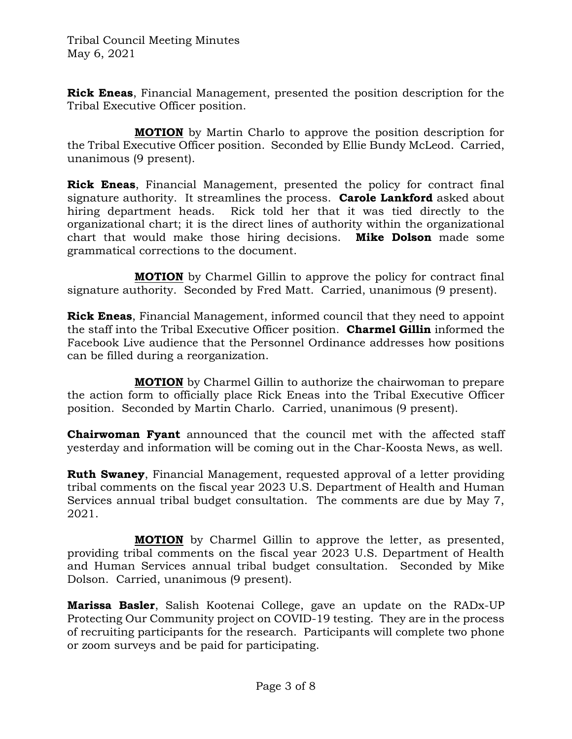**Rick Eneas**, Financial Management, presented the position description for the Tribal Executive Officer position.

**MOTION** by Martin Charlo to approve the position description for the Tribal Executive Officer position. Seconded by Ellie Bundy McLeod. Carried, unanimous (9 present).

**Rick Eneas**, Financial Management, presented the policy for contract final signature authority. It streamlines the process. **Carole Lankford** asked about hiring department heads. Rick told her that it was tied directly to the organizational chart; it is the direct lines of authority within the organizational chart that would make those hiring decisions. **Mike Dolson** made some grammatical corrections to the document.

**MOTION** by Charmel Gillin to approve the policy for contract final signature authority. Seconded by Fred Matt. Carried, unanimous (9 present).

**Rick Eneas**, Financial Management, informed council that they need to appoint the staff into the Tribal Executive Officer position. **Charmel Gillin** informed the Facebook Live audience that the Personnel Ordinance addresses how positions can be filled during a reorganization.

**MOTION** by Charmel Gillin to authorize the chairwoman to prepare the action form to officially place Rick Eneas into the Tribal Executive Officer position. Seconded by Martin Charlo. Carried, unanimous (9 present).

**Chairwoman Fyant** announced that the council met with the affected staff yesterday and information will be coming out in the Char-Koosta News, as well.

**Ruth Swaney**, Financial Management, requested approval of a letter providing tribal comments on the fiscal year 2023 U.S. Department of Health and Human Services annual tribal budget consultation. The comments are due by May 7, 2021.

**MOTION** by Charmel Gillin to approve the letter, as presented, providing tribal comments on the fiscal year 2023 U.S. Department of Health and Human Services annual tribal budget consultation. Seconded by Mike Dolson. Carried, unanimous (9 present).

**Marissa Basler**, Salish Kootenai College, gave an update on the RADx-UP Protecting Our Community project on COVID-19 testing. They are in the process of recruiting participants for the research. Participants will complete two phone or zoom surveys and be paid for participating.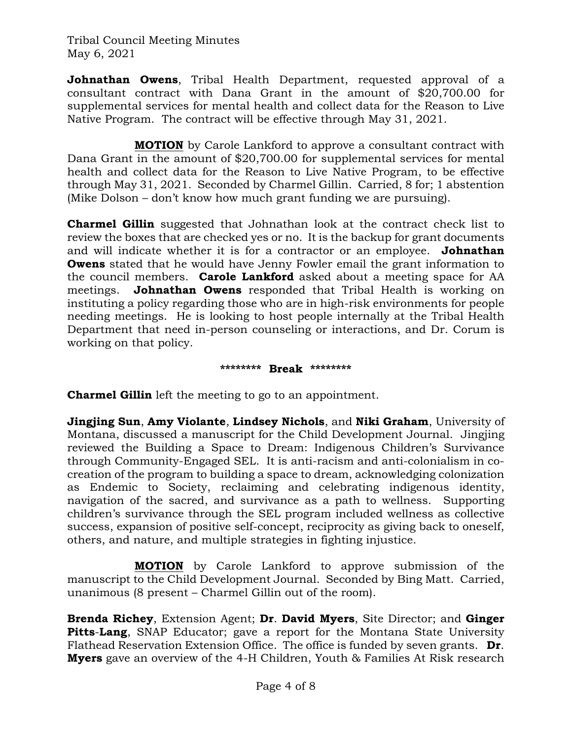**Johnathan Owens**, Tribal Health Department, requested approval of a consultant contract with Dana Grant in the amount of \$20,700.00 for supplemental services for mental health and collect data for the Reason to Live Native Program. The contract will be effective through May 31, 2021.

**MOTION** by Carole Lankford to approve a consultant contract with Dana Grant in the amount of \$20,700.00 for supplemental services for mental health and collect data for the Reason to Live Native Program, to be effective through May 31, 2021. Seconded by Charmel Gillin. Carried, 8 for; 1 abstention (Mike Dolson – don't know how much grant funding we are pursuing).

**Charmel Gillin** suggested that Johnathan look at the contract check list to review the boxes that are checked yes or no. It is the backup for grant documents and will indicate whether it is for a contractor or an employee. **Johnathan Owens** stated that he would have Jenny Fowler email the grant information to the council members. **Carole Lankford** asked about a meeting space for AA meetings. **Johnathan Owens** responded that Tribal Health is working on instituting a policy regarding those who are in high-risk environments for people needing meetings. He is looking to host people internally at the Tribal Health Department that need in-person counseling or interactions, and Dr. Corum is working on that policy.

#### **\*\*\*\*\*\*\*\* Break \*\*\*\*\*\*\*\***

**Charmel Gillin** left the meeting to go to an appointment.

**Jingjing Sun**, **Amy Violante**, **Lindsey Nichols**, and **Niki Graham**, University of Montana, discussed a manuscript for the Child Development Journal. Jingjing reviewed the Building a Space to Dream: Indigenous Children's Survivance through Community-Engaged SEL. It is anti-racism and anti-colonialism in cocreation of the program to building a space to dream, acknowledging colonization as Endemic to Society, reclaiming and celebrating indigenous identity, navigation of the sacred, and survivance as a path to wellness. Supporting children's survivance through the SEL program included wellness as collective success, expansion of positive self-concept, reciprocity as giving back to oneself, others, and nature, and multiple strategies in fighting injustice.

**MOTION** by Carole Lankford to approve submission of the manuscript to the Child Development Journal. Seconded by Bing Matt. Carried, unanimous (8 present – Charmel Gillin out of the room).

**Brenda Richey**, Extension Agent; **Dr**. **David Myers**, Site Director; and **Ginger Pitts**-**Lang**, SNAP Educator; gave a report for the Montana State University Flathead Reservation Extension Office. The office is funded by seven grants. **Dr**. **Myers** gave an overview of the 4-H Children, Youth & Families At Risk research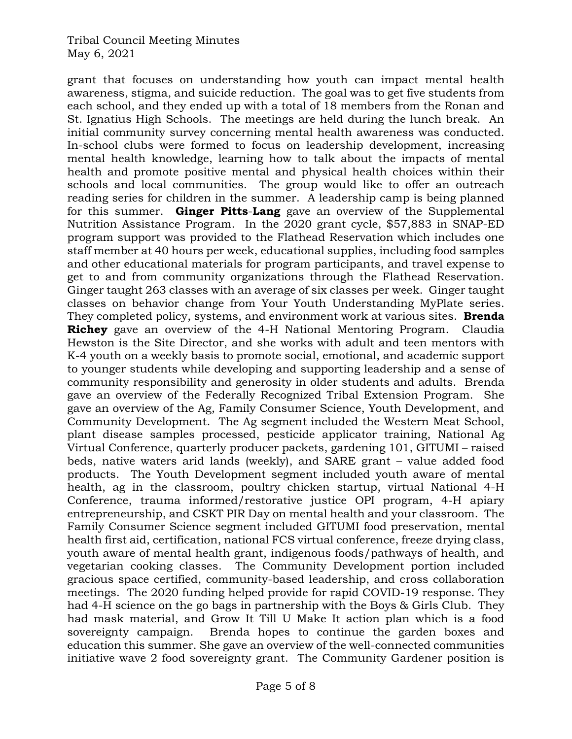grant that focuses on understanding how youth can impact mental health awareness, stigma, and suicide reduction. The goal was to get five students from each school, and they ended up with a total of 18 members from the Ronan and St. Ignatius High Schools. The meetings are held during the lunch break. An initial community survey concerning mental health awareness was conducted. In-school clubs were formed to focus on leadership development, increasing mental health knowledge, learning how to talk about the impacts of mental health and promote positive mental and physical health choices within their schools and local communities. The group would like to offer an outreach reading series for children in the summer. A leadership camp is being planned for this summer. **Ginger Pitts**-**Lang** gave an overview of the Supplemental Nutrition Assistance Program. In the 2020 grant cycle, \$57,883 in SNAP-ED program support was provided to the Flathead Reservation which includes one staff member at 40 hours per week, educational supplies, including food samples and other educational materials for program participants, and travel expense to get to and from community organizations through the Flathead Reservation. Ginger taught 263 classes with an average of six classes per week. Ginger taught classes on behavior change from Your Youth Understanding MyPlate series. They completed policy, systems, and environment work at various sites. **Brenda Richey** gave an overview of the 4-H National Mentoring Program. Claudia Hewston is the Site Director, and she works with adult and teen mentors with K-4 youth on a weekly basis to promote social, emotional, and academic support to younger students while developing and supporting leadership and a sense of community responsibility and generosity in older students and adults. Brenda gave an overview of the Federally Recognized Tribal Extension Program. She gave an overview of the Ag, Family Consumer Science, Youth Development, and Community Development. The Ag segment included the Western Meat School, plant disease samples processed, pesticide applicator training, National Ag Virtual Conference, quarterly producer packets, gardening 101, GITUMI – raised beds, native waters arid lands (weekly), and SARE grant – value added food products. The Youth Development segment included youth aware of mental health, ag in the classroom, poultry chicken startup, virtual National 4-H Conference, trauma informed/restorative justice OPI program, 4-H apiary entrepreneurship, and CSKT PIR Day on mental health and your classroom. The Family Consumer Science segment included GITUMI food preservation, mental health first aid, certification, national FCS virtual conference, freeze drying class, youth aware of mental health grant, indigenous foods/pathways of health, and vegetarian cooking classes. The Community Development portion included gracious space certified, community-based leadership, and cross collaboration meetings. The 2020 funding helped provide for rapid COVID-19 response. They had 4-H science on the go bags in partnership with the Boys & Girls Club. They had mask material, and Grow It Till U Make It action plan which is a food sovereignty campaign. Brenda hopes to continue the garden boxes and education this summer. She gave an overview of the well-connected communities initiative wave 2 food sovereignty grant. The Community Gardener position is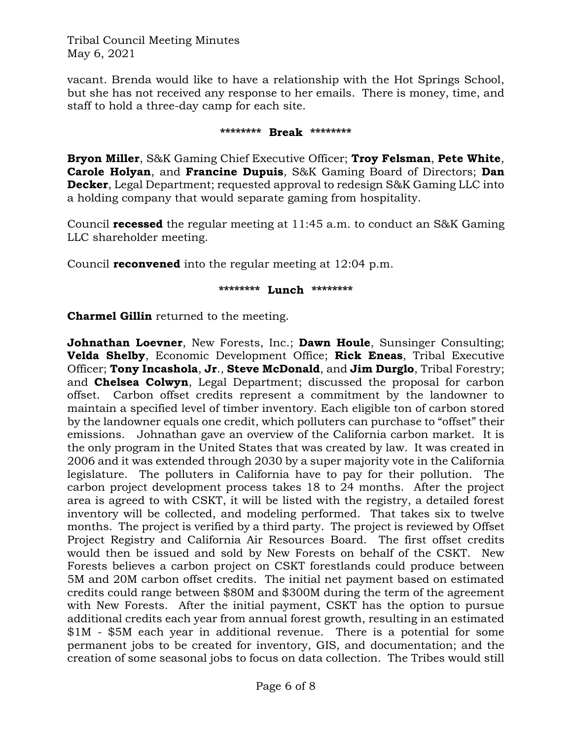vacant. Brenda would like to have a relationship with the Hot Springs School, but she has not received any response to her emails. There is money, time, and staff to hold a three-day camp for each site.

#### **\*\*\*\*\*\*\*\* Break \*\*\*\*\*\*\*\***

**Bryon Miller**, S&K Gaming Chief Executive Officer; **Troy Felsman**, **Pete White**, **Carole Holyan**, and **Francine Dupuis**, S&K Gaming Board of Directors; **Dan Decker**, Legal Department; requested approval to redesign S&K Gaming LLC into a holding company that would separate gaming from hospitality.

Council **recessed** the regular meeting at 11:45 a.m. to conduct an S&K Gaming LLC shareholder meeting.

Council **reconvened** into the regular meeting at 12:04 p.m.

### **\*\*\*\*\*\*\*\* Lunch \*\*\*\*\*\*\*\***

**Charmel Gillin** returned to the meeting.

**Johnathan Loevner**, New Forests, Inc.; **Dawn Houle**, Sunsinger Consulting; **Velda Shelby**, Economic Development Office; **Rick Eneas**, Tribal Executive Officer; **Tony Incashola**, **Jr**., **Steve McDonald**, and **Jim Durglo**, Tribal Forestry; and **Chelsea Colwyn**, Legal Department; discussed the proposal for carbon offset. Carbon offset credits represent a commitment by the landowner to maintain a specified level of timber inventory. Each eligible ton of carbon stored by the landowner equals one credit, which polluters can purchase to "offset" their emissions. Johnathan gave an overview of the California carbon market. It is the only program in the United States that was created by law. It was created in 2006 and it was extended through 2030 by a super majority vote in the California legislature. The polluters in California have to pay for their pollution. The carbon project development process takes 18 to 24 months. After the project area is agreed to with CSKT, it will be listed with the registry, a detailed forest inventory will be collected, and modeling performed. That takes six to twelve months. The project is verified by a third party. The project is reviewed by Offset Project Registry and California Air Resources Board. The first offset credits would then be issued and sold by New Forests on behalf of the CSKT. New Forests believes a carbon project on CSKT forestlands could produce between 5M and 20M carbon offset credits. The initial net payment based on estimated credits could range between \$80M and \$300M during the term of the agreement with New Forests. After the initial payment, CSKT has the option to pursue additional credits each year from annual forest growth, resulting in an estimated \$1M - \$5M each year in additional revenue. There is a potential for some permanent jobs to be created for inventory, GIS, and documentation; and the creation of some seasonal jobs to focus on data collection. The Tribes would still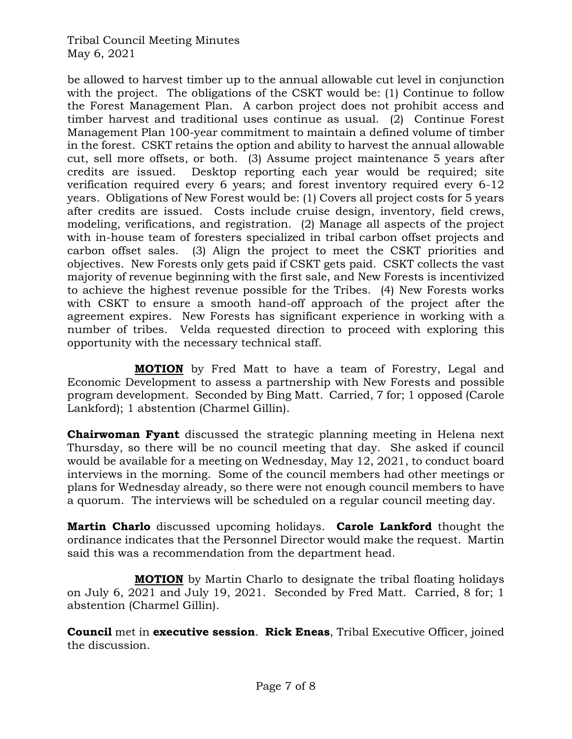be allowed to harvest timber up to the annual allowable cut level in conjunction with the project. The obligations of the CSKT would be: (1) Continue to follow the Forest Management Plan. A carbon project does not prohibit access and timber harvest and traditional uses continue as usual. (2) Continue Forest Management Plan 100-year commitment to maintain a defined volume of timber in the forest. CSKT retains the option and ability to harvest the annual allowable cut, sell more offsets, or both. (3) Assume project maintenance 5 years after credits are issued. Desktop reporting each year would be required; site verification required every 6 years; and forest inventory required every 6-12 years. Obligations of New Forest would be: (1) Covers all project costs for 5 years after credits are issued. Costs include cruise design, inventory, field crews, modeling, verifications, and registration. (2) Manage all aspects of the project with in-house team of foresters specialized in tribal carbon offset projects and carbon offset sales. (3) Align the project to meet the CSKT priorities and objectives. New Forests only gets paid if CSKT gets paid. CSKT collects the vast majority of revenue beginning with the first sale, and New Forests is incentivized to achieve the highest revenue possible for the Tribes. (4) New Forests works with CSKT to ensure a smooth hand-off approach of the project after the agreement expires. New Forests has significant experience in working with a number of tribes. Velda requested direction to proceed with exploring this opportunity with the necessary technical staff.

**MOTION** by Fred Matt to have a team of Forestry, Legal and Economic Development to assess a partnership with New Forests and possible program development. Seconded by Bing Matt. Carried, 7 for; 1 opposed (Carole Lankford); 1 abstention (Charmel Gillin).

**Chairwoman Fyant** discussed the strategic planning meeting in Helena next Thursday, so there will be no council meeting that day. She asked if council would be available for a meeting on Wednesday, May 12, 2021, to conduct board interviews in the morning. Some of the council members had other meetings or plans for Wednesday already, so there were not enough council members to have a quorum. The interviews will be scheduled on a regular council meeting day.

**Martin Charlo** discussed upcoming holidays. **Carole Lankford** thought the ordinance indicates that the Personnel Director would make the request. Martin said this was a recommendation from the department head.

**MOTION** by Martin Charlo to designate the tribal floating holidays on July 6, 2021 and July 19, 2021. Seconded by Fred Matt. Carried, 8 for; 1 abstention (Charmel Gillin).

**Council** met in **executive session**. **Rick Eneas**, Tribal Executive Officer, joined the discussion.